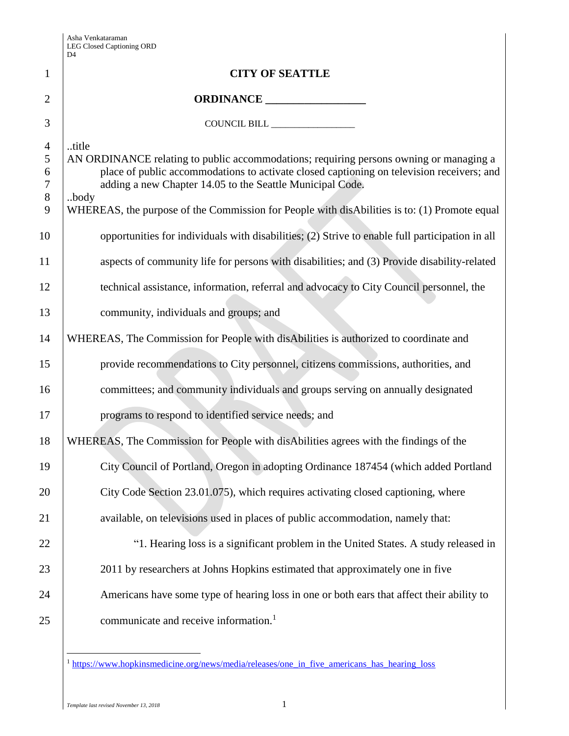|                                             | D <sub>4</sub>                                                                                                                                                                                                                                                                                                                                                    |
|---------------------------------------------|-------------------------------------------------------------------------------------------------------------------------------------------------------------------------------------------------------------------------------------------------------------------------------------------------------------------------------------------------------------------|
| 1                                           | <b>CITY OF SEATTLE</b>                                                                                                                                                                                                                                                                                                                                            |
| $\overline{2}$                              |                                                                                                                                                                                                                                                                                                                                                                   |
| 3                                           | COUNCIL BILL ________________                                                                                                                                                                                                                                                                                                                                     |
| $\overline{4}$<br>5<br>6<br>7<br>$8\,$<br>9 | title<br>AN ORDINANCE relating to public accommodations; requiring persons owning or managing a<br>place of public accommodations to activate closed captioning on television receivers; and<br>adding a new Chapter 14.05 to the Seattle Municipal Code.<br>body<br>WHEREAS, the purpose of the Commission for People with disAbilities is to: (1) Promote equal |
| 10                                          | opportunities for individuals with disabilities; (2) Strive to enable full participation in all                                                                                                                                                                                                                                                                   |
| 11                                          | aspects of community life for persons with disabilities; and (3) Provide disability-related                                                                                                                                                                                                                                                                       |
| 12                                          | technical assistance, information, referral and advocacy to City Council personnel, the                                                                                                                                                                                                                                                                           |
| 13                                          | community, individuals and groups; and                                                                                                                                                                                                                                                                                                                            |
| 14                                          | WHEREAS, The Commission for People with disAbilities is authorized to coordinate and                                                                                                                                                                                                                                                                              |
| 15                                          | provide recommendations to City personnel, citizens commissions, authorities, and                                                                                                                                                                                                                                                                                 |
| 16                                          | committees; and community individuals and groups serving on annually designated                                                                                                                                                                                                                                                                                   |
| 17                                          | programs to respond to identified service needs; and                                                                                                                                                                                                                                                                                                              |
| 18                                          | WHEREAS, The Commission for People with disAbilities agrees with the findings of the                                                                                                                                                                                                                                                                              |
| 19                                          | City Council of Portland, Oregon in adopting Ordinance 187454 (which added Portland                                                                                                                                                                                                                                                                               |
| 20                                          | City Code Section 23.01.075), which requires activating closed captioning, where                                                                                                                                                                                                                                                                                  |
| 21                                          | available, on televisions used in places of public accommodation, namely that:                                                                                                                                                                                                                                                                                    |
| 22                                          | "1. Hearing loss is a significant problem in the United States. A study released in                                                                                                                                                                                                                                                                               |
| 23                                          | 2011 by researchers at Johns Hopkins estimated that approximately one in five                                                                                                                                                                                                                                                                                     |
| 24                                          | Americans have some type of hearing loss in one or both ears that affect their ability to                                                                                                                                                                                                                                                                         |
| 25                                          | communicate and receive information. <sup>1</sup>                                                                                                                                                                                                                                                                                                                 |

 $\overline{a}$ 

<sup>&</sup>lt;sup>1</sup> [https://www.hopkinsmedicine.org/news/media/releases/one\\_in\\_five\\_americans\\_has\\_hearing\\_loss](https://www.hopkinsmedicine.org/news/media/releases/one_in_five_americans_has_hearing_loss)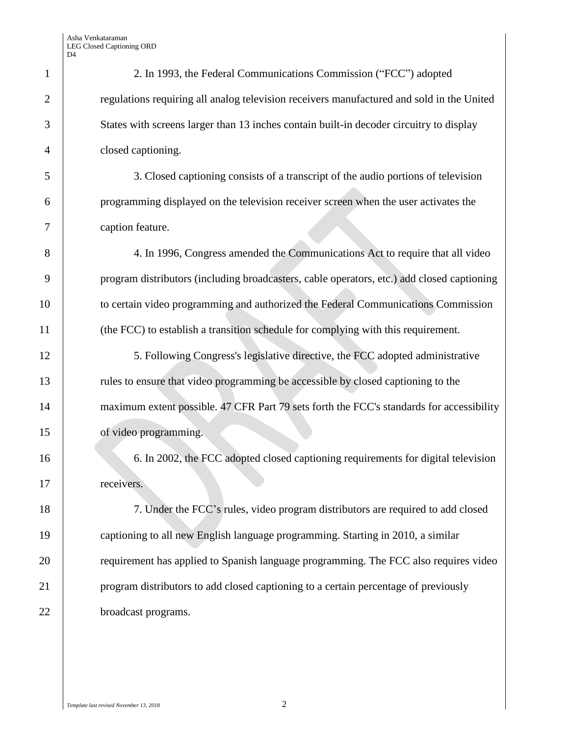Asha Venkataraman LEG Closed Captioning ORD D4

| $\mathbf{1}$   | 2. In 1993, the Federal Communications Commission ("FCC") adopted                          |
|----------------|--------------------------------------------------------------------------------------------|
| $\overline{2}$ | regulations requiring all analog television receivers manufactured and sold in the United  |
| 3              | States with screens larger than 13 inches contain built-in decoder circuitry to display    |
| 4              | closed captioning.                                                                         |
| 5              | 3. Closed captioning consists of a transcript of the audio portions of television          |
| 6              | programming displayed on the television receiver screen when the user activates the        |
| 7              | caption feature.                                                                           |
| 8              | 4. In 1996, Congress amended the Communications Act to require that all video              |
| 9              | program distributors (including broadcasters, cable operators, etc.) add closed captioning |
| 10             | to certain video programming and authorized the Federal Communications Commission          |
| 11             | (the FCC) to establish a transition schedule for complying with this requirement.          |
| 12             | 5. Following Congress's legislative directive, the FCC adopted administrative              |
| 13             | rules to ensure that video programming be accessible by closed captioning to the           |
| 14             | maximum extent possible. 47 CFR Part 79 sets forth the FCC's standards for accessibility   |
| 15             | of video programming.                                                                      |
| 16             | 6. In 2002, the FCC adopted closed captioning requirements for digital television          |
| 17             | receivers.                                                                                 |
| 18             | 7. Under the FCC's rules, video program distributors are required to add closed            |
| 19             | captioning to all new English language programming. Starting in 2010, a similar            |
| 20             | requirement has applied to Spanish language programming. The FCC also requires video       |
| 21             | program distributors to add closed captioning to a certain percentage of previously        |
| 22             | broadcast programs.                                                                        |
|                |                                                                                            |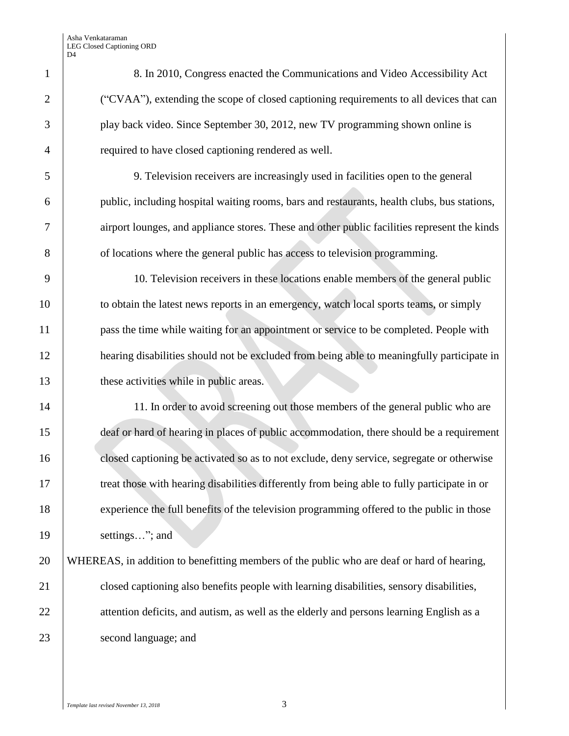Asha Venkataraman LEG Closed Captioning ORD  $\overline{D4}$ 

 8. In 2010, Congress enacted the Communications and Video Accessibility Act ("CVAA"), extending the scope of closed captioning requirements to all devices that can play back video. Since September 30, 2012, new TV programming shown online is required to have closed captioning rendered as well.

 9. Television receivers are increasingly used in facilities open to the general public, including hospital waiting rooms, bars and restaurants, health clubs, bus stations, airport lounges, and appliance stores. These and other public facilities represent the kinds 8 of locations where the general public has access to television programming.

 10. Television receivers in these locations enable members of the general public 10 to obtain the latest news reports in an emergency, watch local sports teams, or simply **pass the time while waiting for an appointment or service to be completed. People with**  hearing disabilities should not be excluded from being able to meaningfully participate in 13 these activities while in public areas.

14 14 11. In order to avoid screening out those members of the general public who are deaf or hard of hearing in places of public accommodation, there should be a requirement closed captioning be activated so as to not exclude, deny service, segregate or otherwise treat those with hearing disabilities differently from being able to fully participate in or experience the full benefits of the television programming offered to the public in those settings…"; and

 WHEREAS, in addition to benefitting members of the public who are deaf or hard of hearing, 21 closed captioning also benefits people with learning disabilities, sensory disabilities, 22 attention deficits, and autism, as well as the elderly and persons learning English as a second language; and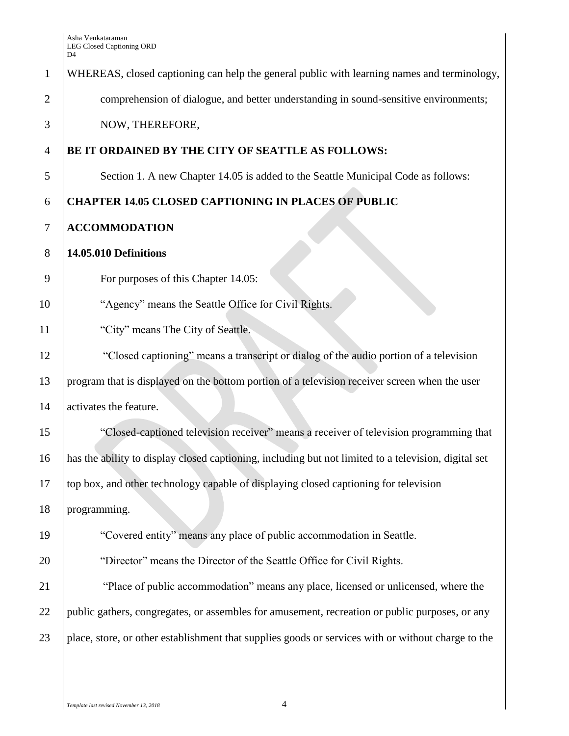|                | D4                                                                                                   |
|----------------|------------------------------------------------------------------------------------------------------|
| $\mathbf{1}$   | WHEREAS, closed captioning can help the general public with learning names and terminology,          |
| $\overline{2}$ | comprehension of dialogue, and better understanding in sound-sensitive environments;                 |
| 3              | NOW, THEREFORE,                                                                                      |
| $\overline{4}$ | BE IT ORDAINED BY THE CITY OF SEATTLE AS FOLLOWS:                                                    |
| 5              | Section 1. A new Chapter 14.05 is added to the Seattle Municipal Code as follows:                    |
| 6              | <b>CHAPTER 14.05 CLOSED CAPTIONING IN PLACES OF PUBLIC</b>                                           |
| $\overline{7}$ | <b>ACCOMMODATION</b>                                                                                 |
| 8              | 14.05.010 Definitions                                                                                |
| 9              | For purposes of this Chapter 14.05:                                                                  |
| 10             | "Agency" means the Seattle Office for Civil Rights.                                                  |
| 11             | "City" means The City of Seattle.                                                                    |
| 12             | "Closed captioning" means a transcript or dialog of the audio portion of a television                |
| 13             | program that is displayed on the bottom portion of a television receiver screen when the user        |
| 14             | activates the feature.                                                                               |
| 15             | "Closed-captioned television receiver" means a receiver of television programming that               |
| 16             | has the ability to display closed captioning, including but not limited to a television, digital set |
| 17             | top box, and other technology capable of displaying closed captioning for television                 |
| 18             | programming.                                                                                         |
| 19             | "Covered entity" means any place of public accommodation in Seattle.                                 |
| 20             | "Director" means the Director of the Seattle Office for Civil Rights.                                |
| 21             | "Place of public accommodation" means any place, licensed or unlicensed, where the                   |
| 22             | public gathers, congregates, or assembles for amusement, recreation or public purposes, or any       |
| 23             | place, store, or other establishment that supplies goods or services with or without charge to the   |
|                |                                                                                                      |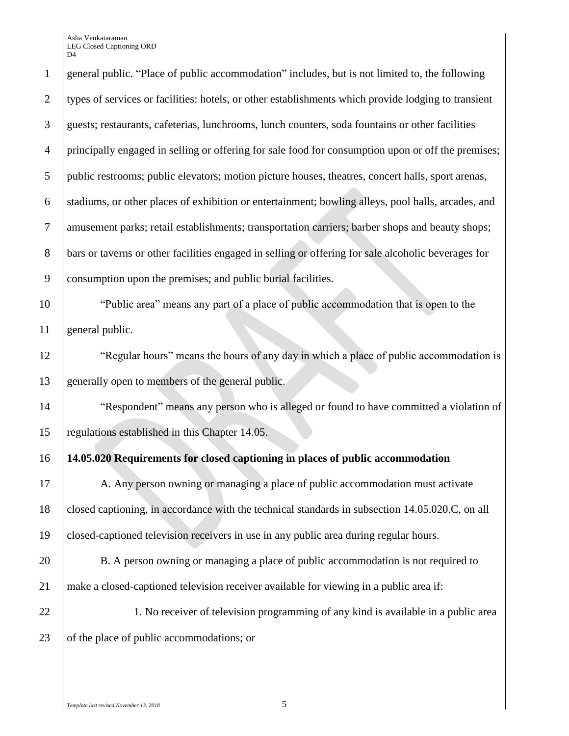Asha Venkataraman LEG Closed Captioning ORD  $\mathbf{D}$ 

 general public. "Place of public accommodation" includes, but is not limited to, the following types of services or facilities: hotels, or other establishments which provide lodging to transient guests; restaurants, cafeterias, lunchrooms, lunch counters, soda fountains or other facilities principally engaged in selling or offering for sale food for consumption upon or off the premises; public restrooms; public elevators; motion picture houses, theatres, concert halls, sport arenas, stadiums, or other places of exhibition or entertainment; bowling alleys, pool halls, arcades, and amusement parks; retail establishments; transportation carriers; barber shops and beauty shops; bars or taverns or other facilities engaged in selling or offering for sale alcoholic beverages for consumption upon the premises; and public burial facilities. "Public area" means any part of a place of public accommodation that is open to the general public. **The Studies of a** "Regular hours" means the hours of any day in which a place of public accommodation is generally open to members of the general public. **Executes** "Respondent" means any person who is alleged or found to have committed a violation of regulations established in this Chapter 14.05. **14.05.020 Requirements for closed captioning in places of public accommodation** 17 A. Any person owning or managing a place of public accommodation must activate closed captioning, in accordance with the technical standards in subsection 14.05.020.C, on all closed-captioned television receivers in use in any public area during regular hours. B. A person owning or managing a place of public accommodation is not required to make a closed-captioned television receiver available for viewing in a public area if: 22 1. No receiver of television programming of any kind is available in a public area 23 of the place of public accommodations; or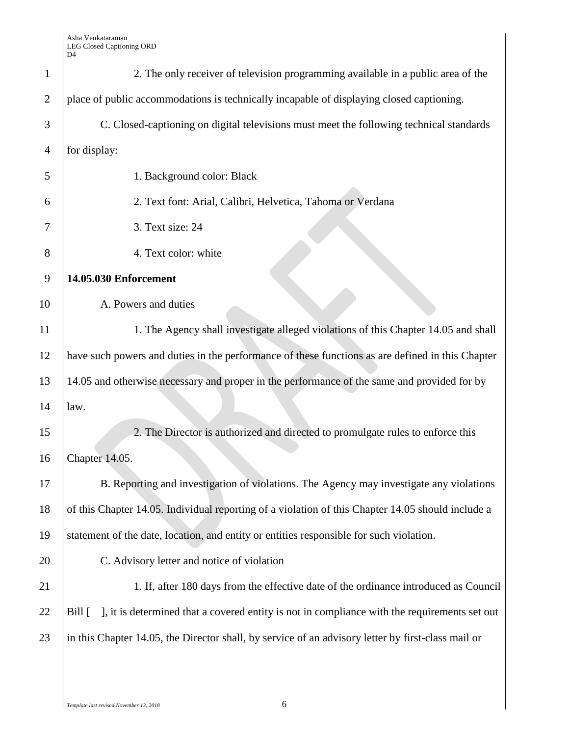| $\mathbf{1}$   | 2. The only receiver of television programming available in a public area of the                                |
|----------------|-----------------------------------------------------------------------------------------------------------------|
| $\overline{2}$ | place of public accommodations is technically incapable of displaying closed captioning.                        |
| 3              | C. Closed-captioning on digital televisions must meet the following technical standards                         |
| $\overline{4}$ | for display:                                                                                                    |
| 5              | 1. Background color: Black                                                                                      |
| 6              | 2. Text font: Arial, Calibri, Helvetica, Tahoma or Verdana                                                      |
| 7              | 3. Text size: 24                                                                                                |
| 8              | 4. Text color: white                                                                                            |
| 9              | 14.05.030 Enforcement                                                                                           |
| 10             | A. Powers and duties                                                                                            |
| 11             | 1. The Agency shall investigate alleged violations of this Chapter 14.05 and shall                              |
| 12             | have such powers and duties in the performance of these functions as are defined in this Chapter                |
| 13             | 14.05 and otherwise necessary and proper in the performance of the same and provided for by                     |
| 14             | law.                                                                                                            |
| 15             | 2. The Director is authorized and directed to promulgate rules to enforce this                                  |
| 16             | Chapter 14.05.                                                                                                  |
| 17             | B. Reporting and investigation of violations. The Agency may investigate any violations                         |
| 18             | of this Chapter 14.05. Individual reporting of a violation of this Chapter 14.05 should include a               |
| 19             | statement of the date, location, and entity or entities responsible for such violation.                         |
| 20             | C. Advisory letter and notice of violation                                                                      |
| 21             | 1. If, after 180 days from the effective date of the ordinance introduced as Council                            |
| 22             | ], it is determined that a covered entity is not in compliance with the requirements set out<br>$Bill$ $\lceil$ |
| 23             | in this Chapter 14.05, the Director shall, by service of an advisory letter by first-class mail or              |
|                |                                                                                                                 |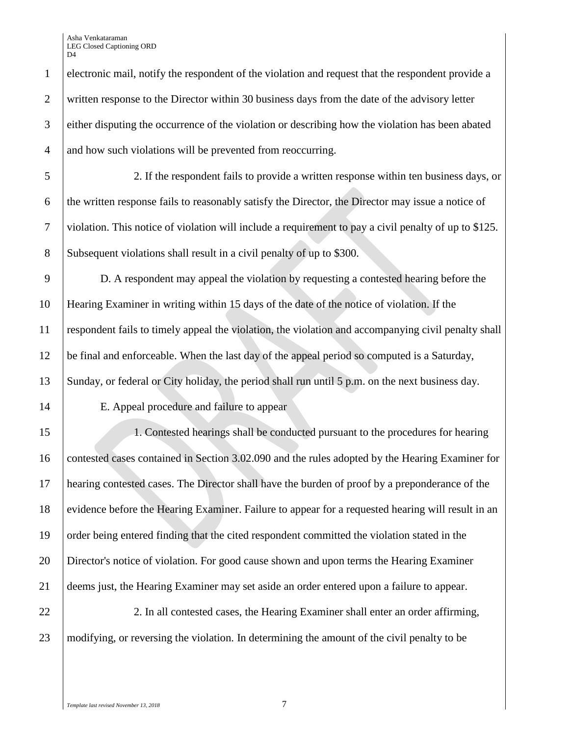Asha Venkataraman LEG Closed Captioning ORD  $\mathbf{D}$ 

 electronic mail, notify the respondent of the violation and request that the respondent provide a 2 written response to the Director within 30 business days from the date of the advisory letter either disputing the occurrence of the violation or describing how the violation has been abated 4 and how such violations will be prevented from reoccurring.

 2. If the respondent fails to provide a written response within ten business days, or the written response fails to reasonably satisfy the Director, the Director may issue a notice of violation. This notice of violation will include a requirement to pay a civil penalty of up to \$125. 8 Subsequent violations shall result in a civil penalty of up to \$300.

 D. A respondent may appeal the violation by requesting a contested hearing before the Hearing Examiner in writing within 15 days of the date of the notice of violation. If the respondent fails to timely appeal the violation, the violation and accompanying civil penalty shall be final and enforceable. When the last day of the appeal period so computed is a Saturday, Sunday, or federal or City holiday, the period shall run until 5 p.m. on the next business day.

E. Appeal procedure and failure to appear

 1. Contested hearings shall be conducted pursuant to the procedures for hearing 16 contested cases contained in Section 3.02.090 and the rules adopted by the Hearing Examiner for hearing contested cases. The Director shall have the burden of proof by a preponderance of the evidence before the Hearing Examiner. Failure to appear for a requested hearing will result in an order being entered finding that the cited respondent committed the violation stated in the Director's notice of violation. For good cause shown and upon terms the Hearing Examiner deems just, the Hearing Examiner may set aside an order entered upon a failure to appear.

22 2. In all contested cases, the Hearing Examiner shall enter an order affirming, 23 modifying, or reversing the violation. In determining the amount of the civil penalty to be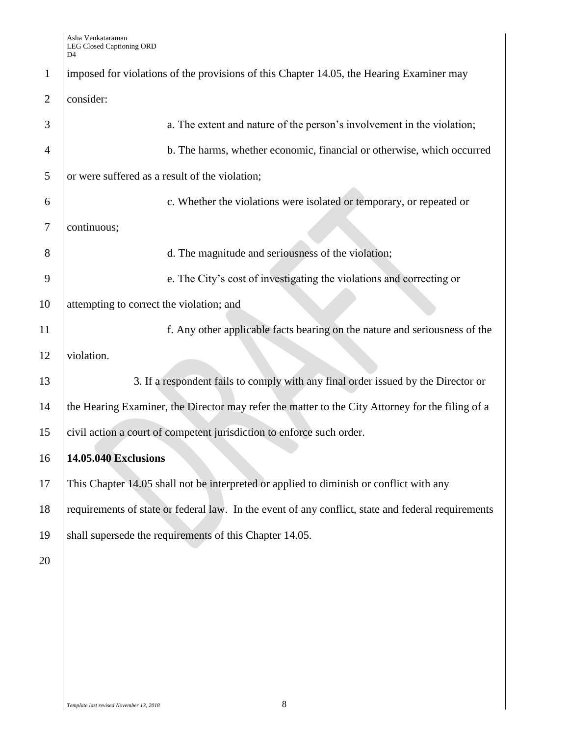| $\mathbf{1}$ | imposed for violations of the provisions of this Chapter 14.05, the Hearing Examiner may           |
|--------------|----------------------------------------------------------------------------------------------------|
| 2            | consider:                                                                                          |
| 3            | a. The extent and nature of the person's involvement in the violation;                             |
| 4            | b. The harms, whether economic, financial or otherwise, which occurred                             |
| 5            | or were suffered as a result of the violation;                                                     |
| 6            | c. Whether the violations were isolated or temporary, or repeated or                               |
| $\tau$       | continuous;                                                                                        |
| 8            | d. The magnitude and seriousness of the violation;                                                 |
| 9            | e. The City's cost of investigating the violations and correcting or                               |
| 10           | attempting to correct the violation; and                                                           |
| 11           | f. Any other applicable facts bearing on the nature and seriousness of the                         |
| 12           | violation.                                                                                         |
| 13           | 3. If a respondent fails to comply with any final order issued by the Director or                  |
| 14           | the Hearing Examiner, the Director may refer the matter to the City Attorney for the filing of a   |
| 15           | civil action a court of competent jurisdiction to enforce such order.                              |
| 16           | <b>14.05.040 Exclusions</b>                                                                        |
| 17           | This Chapter 14.05 shall not be interpreted or applied to diminish or conflict with any            |
| 18           | requirements of state or federal law. In the event of any conflict, state and federal requirements |
| 19           | shall supersede the requirements of this Chapter 14.05.                                            |
| 20           |                                                                                                    |
|              |                                                                                                    |
|              |                                                                                                    |